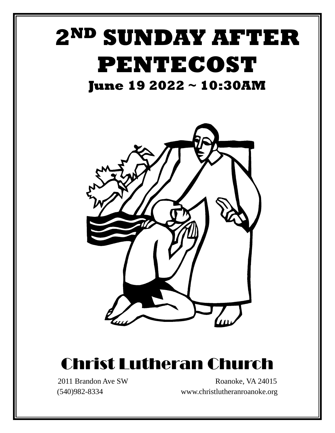

# Christ Lutheran Church

2011 Brandon Ave SW Roanoke, VA 24015 (540)982-8334 www.christlutheranroanoke.org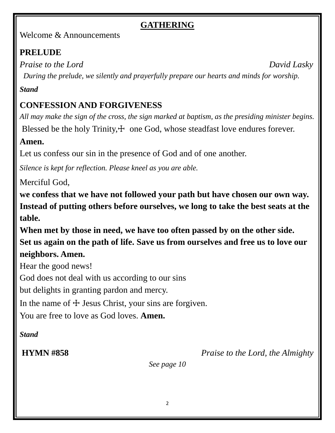# **GATHERING**

Welcome & Announcements

# **PRELUDE**

*Praise to the Lord* David Lasky *During the prelude, we silently and prayerfully prepare our hearts and minds for worship.*

# *Stand*

# **CONFESSION AND FORGIVENESS**

*All may make the sign of the cross, the sign marked at baptism, as the presiding minister begins.*

Blessed be the holy Trinity,  $\pm$  one God, whose steadfast love endures forever.

# **Amen.**

Let us confess our sin in the presence of God and of one another.

*Silence is kept for reflection. Please kneel as you are able.*

Merciful God,

**we confess that we have not followed your path but have chosen our own way. Instead of putting others before ourselves, we long to take the best seats at the table.**

**When met by those in need, we have too often passed by on the other side.**

**Set us again on the path of life. Save us from ourselves and free us to love our neighbors. Amen.**

Hear the good news!

God does not deal with us according to our sins

but delights in granting pardon and mercy.

In the name of  $\pm$  Jesus Christ, your sins are forgiven.

You are free to love as God loves. **Amen.**

# *Stand*

**HYMN #858** *Praise to the Lord, the Almighty* 

*See page 10*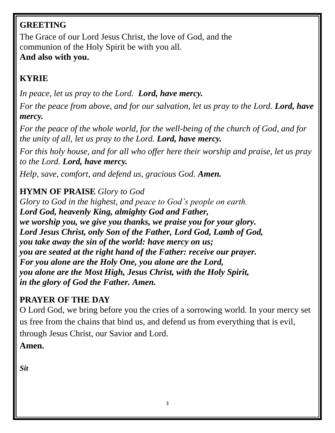# **GREETING**

The Grace of our Lord Jesus Christ, the love of God, and the communion of the Holy Spirit be with you all. **And also with you.** 

# **KYRIE**

*In peace, let us pray to the Lord. Lord, have mercy.*

*For the peace from above, and for our salvation, let us pray to the Lord. Lord, have mercy.*

*For the peace of the whole world, for the well-being of the church of God, and for the unity of all, let us pray to the Lord. Lord, have mercy.*

*For this holy house, and for all who offer here their worship and praise, let us pray to the Lord. Lord, have mercy.*

*Help, save, comfort, and defend us, gracious God. Amen.*

# **HYMN OF PRAISE** *Glory to God*

*Glory to God in the highest, and peace to God's people on earth. Lord God, heavenly King, almighty God and Father, we worship you, we give you thanks, we praise you for your glory. Lord Jesus Christ, only Son of the Father, Lord God, Lamb of God, you take away the sin of the world: have mercy on us; you are seated at the right hand of the Father: receive our prayer. For you alone are the Holy One, you alone are the Lord, you alone are the Most High, Jesus Christ, with the Holy Spirit, in the glory of God the Father. Amen.*

# **PRAYER OF THE DAY**

O Lord God, we bring before you the cries of a sorrowing world. In your mercy set us free from the chains that bind us, and defend us from everything that is evil, through Jesus Christ, our Savior and Lord. **Amen.**

*Sit*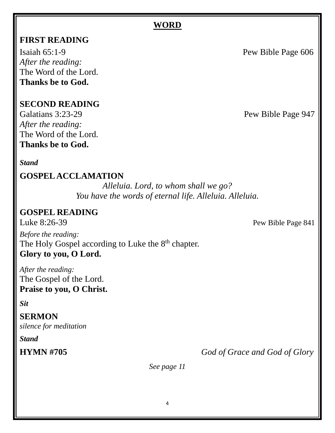#### **WORD**

#### **FIRST READING**

Isaiah [65:1-9](https://members.sundaysandseasons.com/Home/TextsAndResources) Pew Bible Page 606 *After the reading:* The Word of the Lord. **Thanks be to God.**

#### **SECOND READING**

Galatians 3:23-29 Pew Bible Page 947 *After the reading:* The Word of the Lord. **Thanks be to God.**

#### *Stand*

#### **GOSPEL ACCLAMATION**

*Alleluia. Lord, to whom shall we go? You have the words of eternal life. Alleluia. Alleluia.*

#### **GOSPEL READING**

*Before the reading:* The Holy Gospel according to Luke the 8<sup>th</sup> chapter. **Glory to you, O Lord.**

*After the reading:* The Gospel of the Lord. **Praise to you, O Christ.**

*Sit*

#### **SERMON**

*silence for meditation*

*Stand*

**HYMN #705** *God of Grace and God of Glory*

*See page 11*

4

Luke 8:26-39 Pew Bible Page 841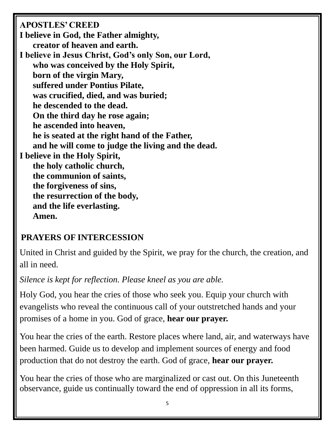**APOSTLES' CREED**

- **I believe in God, the Father almighty, creator of heaven and earth.**
- **I believe in Jesus Christ, God's only Son, our Lord, who was conceived by the Holy Spirit, born of the virgin Mary, suffered under Pontius Pilate, was crucified, died, and was buried; he descended to the dead. On the third day he rose again; he ascended into heaven, he is seated at the right hand of the Father, and he will come to judge the living and the dead. I believe in the Holy Spirit, the holy catholic church, the communion of saints, the forgiveness of sins, the resurrection of the body, and the life everlasting. Amen.**

# **PRAYERS OF INTERCESSION**

United in Christ and guided by the Spirit, we pray for the church, the creation, and all in need.

*Silence is kept for reflection. Please kneel as you are able.*

Holy God, you hear the cries of those who seek you. Equip your church with evangelists who reveal the continuous call of your outstretched hands and your promises of a home in you. God of grace, **hear our prayer.**

You hear the cries of the earth. Restore places where land, air, and waterways have been harmed. Guide us to develop and implement sources of energy and food production that do not destroy the earth. God of grace, **hear our prayer.**

You hear the cries of those who are marginalized or cast out. On this Juneteenth observance, guide us continually toward the end of oppression in all its forms,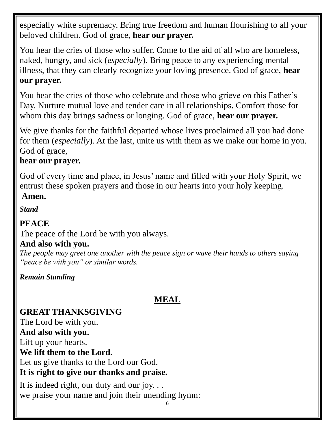especially white supremacy. Bring true freedom and human flourishing to all your beloved children. God of grace, **hear our prayer.**

You hear the cries of those who suffer. Come to the aid of all who are homeless, naked, hungry, and sick (*especially*). Bring peace to any experiencing mental illness, that they can clearly recognize your loving presence. God of grace, **hear our prayer.**

You hear the cries of those who celebrate and those who grieve on this Father's Day. Nurture mutual love and tender care in all relationships. Comfort those for whom this day brings sadness or longing. God of grace, **hear our prayer.**

We give thanks for the faithful departed whose lives proclaimed all you had done for them (*especially*). At the last, unite us with them as we make our home in you. God of grace,

### **hear our prayer.**

God of every time and place, in Jesus' name and filled with your Holy Spirit, we entrust these spoken prayers and those in our hearts into your holy keeping.

**Amen.**

*Stand*

# **PEACE**

The peace of the Lord be with you always.

# **And also with you.**

*The people may greet one another with the peace sign or wave their hands to others saying "peace be with you" or similar words.*

*Remain Standing*

# **MEAL**

**GREAT THANKSGIVING** The Lord be with you. **And also with you.** Lift up your hearts. **We lift them to the Lord.** Let us give thanks to the Lord our God. **It is right to give our thanks and praise.**

It is indeed right, our duty and our joy. . . we praise your name and join their unending hymn: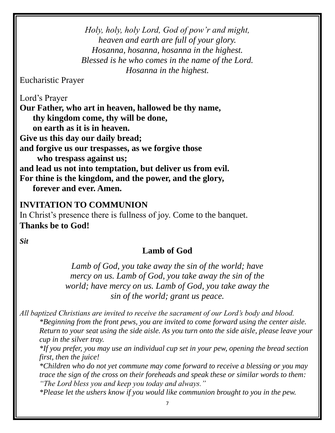*Holy, holy, holy Lord, God of pow'r and might, heaven and earth are full of your glory. Hosanna, hosanna, hosanna in the highest. Blessed is he who comes in the name of the Lord. Hosanna in the highest.* 

Eucharistic Prayer

Lord's Prayer **Our Father, who art in heaven, hallowed be thy name, thy kingdom come, thy will be done, on earth as it is in heaven. Give us this day our daily bread; and forgive us our trespasses, as we forgive those who trespass against us; and lead us not into temptation, but deliver us from evil. For thine is the kingdom, and the power, and the glory, forever and ever. Amen.**

#### **INVITATION TO COMMUNION**

In Christ's presence there is fullness of joy. Come to the banquet. **Thanks be to God!**

*Sit*

#### **Lamb of God**

*Lamb of God, you take away the sin of the world; have mercy on us. Lamb of God, you take away the sin of the world; have mercy on us. Lamb of God, you take away the sin of the world; grant us peace.*

*All baptized Christians are invited to receive the sacrament of our Lord's body and blood. \*Beginning from the front pews, you are invited to come forward using the center aisle. Return to your seat using the side aisle. As you turn onto the side aisle, please leave your cup in the silver tray.*

*\*If you prefer, you may use an individual cup set in your pew, opening the bread section first, then the juice!* 

*\*Children who do not yet commune may come forward to receive a blessing or you may trace the sign of the cross on their foreheads and speak these or similar words to them: "The Lord bless you and keep you today and always."*

*\*Please let the ushers know if you would like communion brought to you in the pew.*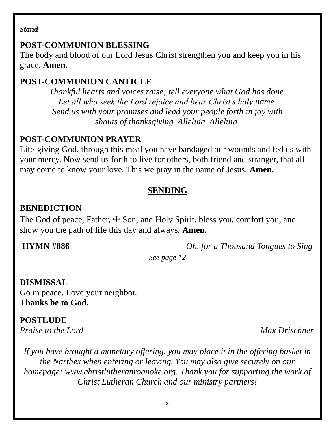#### *Stand*

#### **POST-COMMUNION BLESSING**

The body and blood of our Lord Jesus Christ strengthen you and keep you in his grace. **Amen.**

# **POST-COMMUNION CANTICLE**

*Thankful hearts and voices raise; tell everyone what God has done. Let all who seek the Lord rejoice and bear Christ's holy name. Send us with your promises and lead your people forth in joy with shouts of thanksgiving. Alleluia. Alleluia.*

### **POST-COMMUNION PRAYER**

Life-giving God, through this meal you have bandaged our wounds and fed us with your mercy. Now send us forth to live for others, both friend and stranger, that all may come to know your love. This we pray in the name of Jesus. **Amen.**

### **SENDING**

# **BENEDICTION**

The God of peace, Father,  $\pm$  Son, and Holy Spirit, bless you, comfort you, and show you the path of life this day and always. **Amen.**

**HYMN #886** *Oh, for a Thousand Tongues to Sing*

*See page 12*

#### **DISMISSAL**

Go in peace. Love your neighbor. **Thanks be to God.**

# **POSTLUDE**

*Praise to the Lord* Max Drischner

*If you have brought a monetary offering, you may place it in the offering basket in the Narthex when entering or leaving. You may also give securely on our homepage: [www.christlutheranroanoke.org.](http://www.christlutheranroanoke.org/) Thank you for supporting the work of Christ Lutheran Church and our ministry partners!*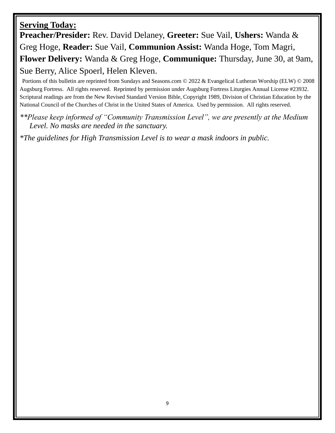#### **Serving Today:**

**Preacher/Presider:** Rev. David Delaney, **Greeter:** Sue Vail, **Ushers:** Wanda & Greg Hoge, **Reader:** Sue Vail, **Communion Assist:** Wanda Hoge, Tom Magri, **Flower Delivery:** Wanda & Greg Hoge, **Communique:** Thursday, June 30, at 9am, Sue Berry, Alice Spoerl, Helen Kleven.

Portions of this bulletin are reprinted from Sundays and Seasons.com © 2022 & Evangelical Lutheran Worship (ELW) © 2008 Augsburg Fortress. All rights reserved. Reprinted by permission under Augsburg Fortress Liturgies Annual License #23932. Scriptural readings are from the New Revised Standard Version Bible, Copyright 1989, Division of Christian Education by the National Council of the Churches of Christ in the United States of America. Used by permission. All rights reserved.

*\*\*Please keep informed of "Community Transmission Level", we are presently at the Medium Level. No masks are needed in the sanctuary.* 

*\*The guidelines for High Transmission Level is to wear a mask indoors in public.*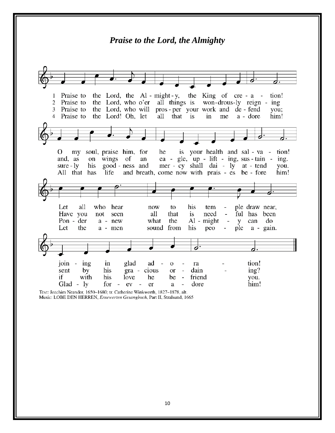#### *Praise to the Lord, the Almighty*the Lord, the Al-might-y, the King of  $cre - a$ 1 Praise to tion!  $\overline{2}$ Praise to the Lord, who o'er all things is won-drous-ly reign - ing the Lord, who will pros-per your work and de-fend Praise to 3 you; the Lord! Oh, let 4 Praise to all that is in me a - dore him! my soul, praise him, for is your health and sal - va -0 he tion! gle, up - lift - ing, sus - tain on wings of and, as an ea ing. good - ness and mer - cy shall dai - ly at - tend  $sure - ly$ his you. life and breath, come now with prais - es be - fore All that has him! Let all who hear to his ple draw near, now tem Have you all that is need ful has been not seen  $\overline{\phantom{a}}$ Pon - der  $a$  -  $new$ what the Al - might  $\overline{\phantom{a}}$ can do y Let the a - men sound from his peo ple a - gain. d tion! join ing in glad ad  $\theta$ ra sent by his gra - cious or dain  $ing?$ if with his love he be  $\overline{\phantom{a}}$ friend you. Glad -  $ly$ for dore him!  $\sim$ ev  $\sim$ er a

Text: Joachim Neander, 1650-1680; tr. Catherine Winkworth, 1827-1878, alt. Music: LOBE DEN HERREN, Ernewerten Gesangbuch, Part II, Stralsund, 1665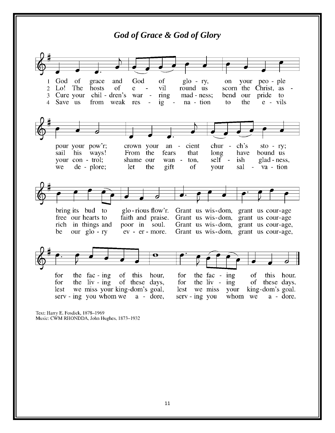

Music: CWM RHONDDA, John Hughes, 1873-1932